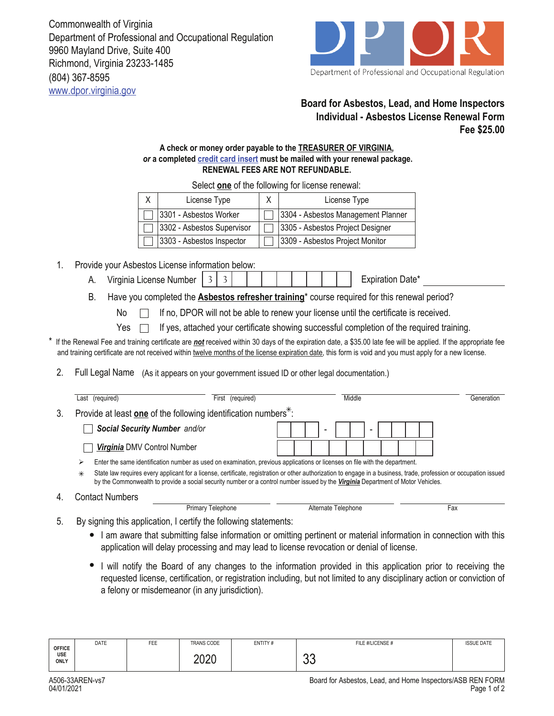(804) 367-8595 www.dpor.virginia.gov Commonwealth of Virginia Department of Professional and Occupational Regulation 9960 Mayland Drive, Suite 400 Richmond, Virginia 23233-1485



## **Board for Asbestos, Lead, and Home Inspectors Individual - Asbestos License Renewal Form Fee \$25.00**

## **A check or money order payable to the TREASURER OF VIRGINIA,**  *or* **a completed credit card insert must be mailed with your renewal package. RENEWAL FEES ARE NOT REFUNDABLE.**

| License Type               | License Type                       |
|----------------------------|------------------------------------|
| 3301 - Asbestos Worker     | 3304 - Asbestos Management Planner |
| 3302 - Asbestos Supervisor | 3305 - Asbestos Project Designer   |
| 3303 - Asbestos Inspector  | 3309 - Asbestos Project Monitor    |

Select **one** of the following for license renewal:

- 1. Provide your Asbestos License information below:
	- A. Virginia License Number | 3 | 3 | | | | | | | | | | | | | Expiration Date\*
	- B. Have you completed the **Asbestos refresher training**\* course required for this renewal period?
		- No If no, DPOR will not be able to renew your license until the certificate is received.
		- Yes  $\Box$ If yes, attached your certificate showing successful completion of the required training.
- If the Renewal Fee and training certificate are *not* received within 30 days of the expiration date, a \$35.00 late fee will be applied. If the appropriate fee and training certificate are not received within twelve months of the license expiration date, this form is void and you must apply for a new license.
- 2. Full Legal Name (As it appears on your government issued ID or other legal documentation.)

|    | Last (required)                                                                                                                                                                                                                                                                                                  | (required)<br>First                                                         | Middle              | Generation |  |  |  |
|----|------------------------------------------------------------------------------------------------------------------------------------------------------------------------------------------------------------------------------------------------------------------------------------------------------------------|-----------------------------------------------------------------------------|---------------------|------------|--|--|--|
| 3. |                                                                                                                                                                                                                                                                                                                  | Provide at least one of the following identification numbers <sup>*</sup> : |                     |            |  |  |  |
|    | Social Security Number and/or                                                                                                                                                                                                                                                                                    |                                                                             |                     |            |  |  |  |
|    | Virginia DMV Control Number                                                                                                                                                                                                                                                                                      |                                                                             |                     |            |  |  |  |
|    | Enter the same identification number as used on examination, previous applications or licenses on file with the department.<br>⋗                                                                                                                                                                                 |                                                                             |                     |            |  |  |  |
|    | State law requires every applicant for a license, certificate, registration or other authorization to engage in a business, trade, profession or occupation issued<br>$\ast$<br>by the Commonwealth to provide a social security number or a control number issued by the Virginia Department of Motor Vehicles. |                                                                             |                     |            |  |  |  |
|    | <b>Contact Numbers</b>                                                                                                                                                                                                                                                                                           |                                                                             |                     |            |  |  |  |
|    | Primary Telephone                                                                                                                                                                                                                                                                                                |                                                                             | Alternate Telephone | Fax        |  |  |  |

- 5. By signing this application, I certify the following statements:
	- I am aware that submitting false information or omitting pertinent or material information in connection with this application will delay processing and may lead to license revocation or denial of license.
	- I will notify the Board of any changes to the information provided in this application prior to receiving the requested license, certification, or registration including, but not limited to any disciplinary action or conviction of a felony or misdemeanor (in any jurisdiction).

| <b>OFFICE</b>      | <b>DATE</b> | <b>FEE</b> | TRANS CODE   | ENTITY# | FILE #/LICENSE # | <b>ISSUE DATE</b> |
|--------------------|-------------|------------|--------------|---------|------------------|-------------------|
| USE<br><b>ONLY</b> |             |            | ∩ר∩ר<br>ZUZU |         | $\sim$<br>vu     |                   |

4.